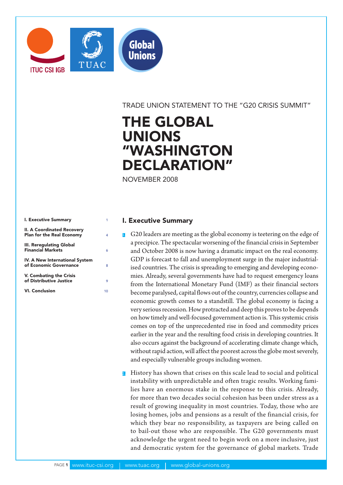

TRADE UNION STATEMENT TO THE "G20 CRISIS SUMMIT"

# THE GLOBAL UNIONS "WASHINGTON DECLARATION"

NOVEMBER 2008

| I. Executive Summary                                           |    |
|----------------------------------------------------------------|----|
| II. A Coordinated Recovery<br><b>Plan for the Real Economy</b> | 4  |
| III. Reregulating Global<br><b>Financial Markets</b>           | 6  |
| IV. A New International System<br>of Economic Governance       | 8  |
| V. Combating the Crisis<br>of Distributive Justice             | 9  |
| <b>VI. Conclusion</b>                                          | 10 |

## I. Executive Summary

- $\Box$  G20 leaders are meeting as the global economy is teetering on the edge of a precipice. The spectacular worsening of the financial crisis in September and October 2008 is now having a dramatic impact on the real economy. GDP is forecast to fall and unemployment surge in the major industrialised countries. The crisis is spreading to emerging and developing economies. Already, several governments have had to request emergency loans from the International Monetary Fund (IMF) as their financial sectors become paralysed, capital flows out of the country, currencies collapse and economic growth comes to a standstill. The global economy is facing a very serious recession. How protracted and deep this proves to be depends on how timely and well-focused government action is. This systemic crisis comes on top of the unprecedented rise in food and commodity prices earlier in the year and the resulting food crisis in developing countries. It also occurs against the background of accelerating climate change which, without rapid action, will affect the poorest across the globe most severely, and especially vulnerable groups including women.
- 2. History has shown that crises on this scale lead to social and political instability with unpredictable and often tragic results. Working families have an enormous stake in the response to this crisis. Already, for more than two decades social cohesion has been under stress as a result of growing inequality in most countries. Today, those who are losing homes, jobs and pensions as a result of the financial crisis, for which they bear no responsibility, as taxpayers are being called on to bail-out those who are responsible. The G20 governments must acknowledge the urgent need to begin work on a more inclusive, just and democratic system for the governance of global markets. Trade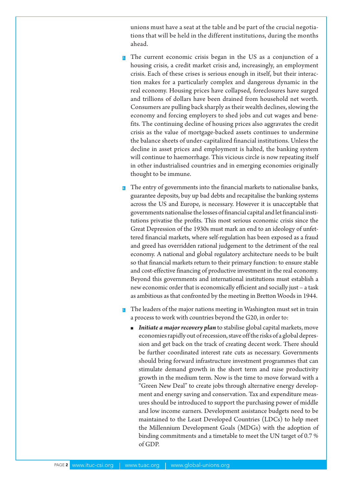unions must have a seat at the table and be part of the crucial negotiations that will be held in the different institutions, during the months ahead.

- The current economic crisis began in the US as a conjunction of a housing crisis, a credit market crisis and, increasingly, an employment crisis. Each of these crises is serious enough in itself, but their interaction makes for a particularly complex and dangerous dynamic in the real economy. Housing prices have collapsed, foreclosures have surged and trillions of dollars have been drained from household net worth. Consumers are pulling back sharply as their wealth declines, slowing the economy and forcing employers to shed jobs and cut wages and benefits. The continuing decline of housing prices also aggravates the credit crisis as the value of mortgage-backed assets continues to undermine the balance sheets of under-capitalized financial institutions. Unless the decline in asset prices and employment is halted, the banking system will continue to haemorrhage. This vicious circle is now repeating itself in other industrialised countries and in emerging economies originally thought to be immune.
- <sup>4</sup>. The entry of governments into the financial markets to nationalise banks, guarantee deposits, buy up bad debts and recapitalise the banking systems across the US and Europe, is necessary. However it is unacceptable that governments nationalise the losses of financial capital and let financial institutions privatise the profits. This most serious economic crisis since the Great Depression of the 1930s must mark an end to an ideology of unfettered financial markets, where self-regulation has been exposed as a fraud and greed has overridden rational judgement to the detriment of the real economy. A national and global regulatory architecture needs to be built so that financial markets return to their primary function: to ensure stable and cost-effective financing of productive investment in the real economy. Beyond this governments and international institutions must establish a new economic order that is economically efficient and socially just – a task as ambitious as that confronted by the meeting in Bretton Woods in 1944.
- The leaders of the major nations meeting in Washington must set in train a process to work with countries beyond the G20, in order to:
	- **Initiate a major recovery plan** to stabilise global capital markets, move economies rapidly out of recession, stave off the risks of a global depression and get back on the track of creating decent work. There should be further coordinated interest rate cuts as necessary. Governments should bring forward infrastructure investment programmes that can stimulate demand growth in the short term and raise productivity growth in the medium term. Now is the time to move forward with a "Green New Deal" to create jobs through alternative energy development and energy saving and conservation. Tax and expenditure measures should be introduced to support the purchasing power of middle and low income earners. Development assistance budgets need to be maintained to the Least Developed Countries (LDCs) to help meet the Millennium Development Goals (MDGs) with the adoption of binding commitments and a timetable to meet the UN target of 0.7 % of GDP.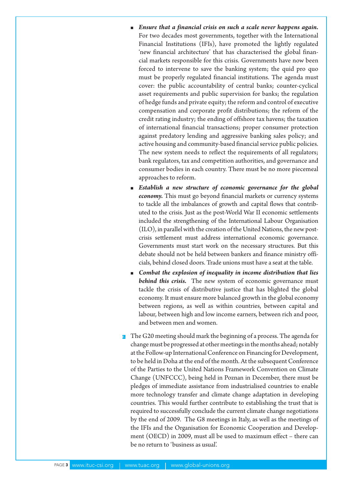- **Ensure that a financial crisis on such a scale never happens again.** For two decades most governments, together with the International Financial Institutions (IFIs), have promoted the lightly regulated 'new financial architecture' that has characterised the global financial markets responsible for this crisis. Governments have now been forced to intervene to save the banking system; the quid pro quo must be properly regulated financial institutions. The agenda must cover: the public accountability of central banks; counter-cyclical asset requirements and public supervision for banks; the regulation of hedge funds and private equity; the reform and control of executive compensation and corporate profit distributions; the reform of the credit rating industry; the ending of offshore tax havens; the taxation of international financial transactions; proper consumer protection against predatory lending and aggressive banking sales policy; and active housing and community-based financial service public policies. The new system needs to reflect the requirements of all regulators; bank regulators, tax and competition authorities, and governance and consumer bodies in each country. There must be no more piecemeal approaches to reform.
- **Establish a new structure of economic governance for the global** *economy.* This must go beyond financial markets or currency systems to tackle all the imbalances of growth and capital flows that contributed to the crisis. Just as the post-World War II economic settlements included the strengthening of the International Labour Organisation (ILO), in parallel with the creation of the United Nations, the new postcrisis settlement must address international economic governance. Governments must start work on the necessary structures. But this debate should not be held between bankers and finance ministry officials, behind closed doors. Trade unions must have a seat at the table.
- **n** Combat the explosion of inequality in income distribution that lies *behind this crisis.* The new system of economic governance must tackle the crisis of distributive justice that has blighted the global economy. It must ensure more balanced growth in the global economy between regions, as well as within countries, between capital and labour, between high and low income earners, between rich and poor, and between men and women.
- **6** The G20 meeting should mark the beginning of a process. The agenda for change must be progressed at other meetings in the months ahead; notably at the Follow-up International Conference on Financing for Development, to be held in Doha at the end of the month. At the subsequent Conference of the Parties to the United Nations Framework Convention on Climate Change (UNFCCC), being held in Poznan in December, there must be pledges of immediate assistance from industrialised countries to enable more technology transfer and climate change adaptation in developing countries. This would further contribute to establishing the trust that is required to successfully conclude the current climate change negotiations by the end of 2009. The G8 meetings in Italy, as well as the meetings of the IFIs and the Organisation for Economic Cooperation and Development (OECD) in 2009, must all be used to maximum effect – there can be no return to 'business as usual'.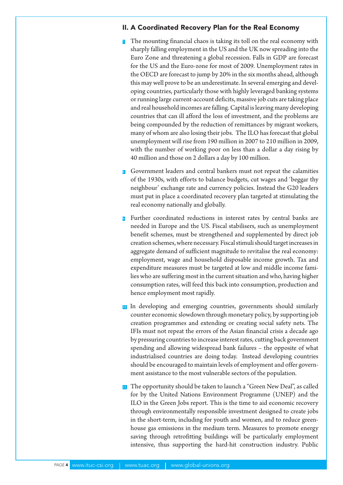## II. A Coordinated Recovery Plan for the Real Economy

- 7. The mounting financial chaos is taking its toll on the real economy with sharply falling employment in the US and the UK now spreading into the Euro Zone and threatening a global recession. Falls in GDP are forecast for the US and the Euro-zone for most of 2009. Unemployment rates in the OECD are forecast to jump by 20% in the six months ahead, although this may well prove to be an underestimate. In several emerging and developing countries, particularly those with highly leveraged banking systems or running large current-account deficits, massive job cuts are taking place and real household incomes are falling. Capital is leaving many developing countries that can ill afford the loss of investment, and the problems are being compounded by the reduction of remittances by migrant workers, many of whom are also losing their jobs. The ILO has forecast that global unemployment will rise from 190 million in 2007 to 210 million in 2009, with the number of working poor on less than a dollar a day rising by 40 million and those on 2 dollars a day by 100 million.
- 8. Government leaders and central bankers must not repeat the calamities of the 1930s, with efforts to balance budgets, cut wages and 'beggar thy neighbour' exchange rate and currency policies. Instead the G20 leaders must put in place a coordinated recovery plan targeted at stimulating the real economy nationally and globally.
- Further coordinated reductions in interest rates by central banks are needed in Europe and the US. Fiscal stabilisers, such as unemployment benefit schemes, must be strengthened and supplemented by direct job creation schemes, where necessary. Fiscal stimuli should target increases in aggregate demand of sufficient magnitude to revitalise the real economy: employment, wage and household disposable income growth. Tax and expenditure measures must be targeted at low and middle income families who are suffering most in the current situation and who, having higher consumption rates, will feed this back into consumption, production and hence employment most rapidly.
- 10. In developing and emerging countries, governments should similarly counter economic slowdown through monetary policy, by supporting job creation programmes and extending or creating social safety nets. The IFIs must not repeat the errors of the Asian financial crisis a decade ago by pressuring countries to increase interest rates, cutting back government spending and allowing widespread bank failures – the opposite of what industrialised countries are doing today. Instead developing countries should be encouraged to maintain levels of employment and offer government assistance to the most vulnerable sectors of the population.
- **11.** The opportunity should be taken to launch a "Green New Deal", as called for by the United Nations Environment Programme (UNEP) and the ILO in the Green Jobs report. This is the time to aid economic recovery through environmentally responsible investment designed to create jobs in the short-term, including for youth and women, and to reduce greenhouse gas emissions in the medium term. Measures to promote energy saving through retrofitting buildings will be particularly employment intensive, thus supporting the hard-hit construction industry. Public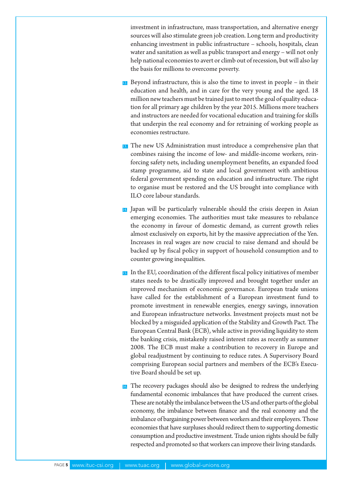investment in infrastructure, mass transportation, and alternative energy sources will also stimulate green job creation. Long term and productivity enhancing investment in public infrastructure – schools, hospitals, clean water and sanitation as well as public transport and energy – will not only help national economies to avert or climb out of recession, but will also lay the basis for millions to overcome poverty.

- $12$ . Beyond infrastructure, this is also the time to invest in people in their education and health, and in care for the very young and the aged. 18 million new teachers must be trained just to meet the goal of quality education for all primary age children by the year 2015. Millions more teachers and instructors are needed for vocational education and training for skills that underpin the real economy and for retraining of working people as economies restructure.
- 13. The new US Administration must introduce a comprehensive plan that combines raising the income of low- and middle-income workers, reinforcing safety nets, including unemployment benefits, an expanded food stamp programme, aid to state and local government with ambitious federal government spending on education and infrastructure. The right to organise must be restored and the US brought into compliance with ILO core labour standards.
- 14. Japan will be particularly vulnerable should the crisis deepen in Asian emerging economies. The authorities must take measures to rebalance the economy in favour of domestic demand, as current growth relies almost exclusively on exports, hit by the massive appreciation of the Yen. Increases in real wages are now crucial to raise demand and should be backed up by fiscal policy in support of household consumption and to counter growing inequalities.
- 15. In the EU, coordination of the different fiscal policy initiatives of member states needs to be drastically improved and brought together under an improved mechanism of economic governance. European trade unions have called for the establishment of a European investment fund to promote investment in renewable energies, energy savings, innovation and European infrastructure networks. Investment projects must not be blocked by a misguided application of the Stability and Growth Pact. The European Central Bank (ECB), while active in providing liquidity to stem the banking crisis, mistakenly raised interest rates as recently as summer 2008. The ECB must make a contribution to recovery in Europe and global readjustment by continuing to reduce rates. A Supervisory Board comprising European social partners and members of the ECB's Executive Board should be set up.
- 16. The recovery packages should also be designed to redress the underlying fundamental economic imbalances that have produced the current crises. These are notably the imbalance between the US and other parts of the global economy, the imbalance between finance and the real economy and the imbalance of bargaining power between workers and their employers. Those economies that have surpluses should redirect them to supporting domestic consumption and productive investment. Trade union rights should be fully respected and promoted so that workers can improve their living standards.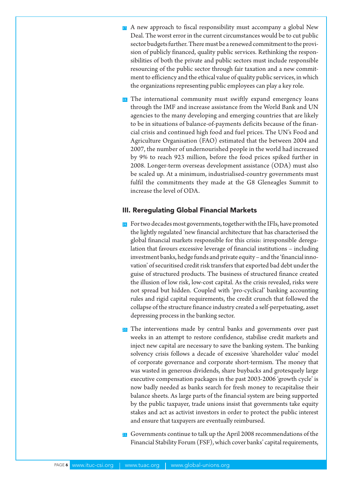- **17.** A new approach to fiscal responsibility must accompany a global New Deal. The worst error in the current circumstances would be to cut public sector budgets further. There must be a renewed commitment to the provision of publicly financed, quality public services. Rethinking the responsibilities of both the private and public sectors must include responsible resourcing of the public sector through fair taxation and a new commitment to efficiency and the ethical value of quality public services, in which the organizations representing public employees can play a key role.
- <sup>18</sup>. The international community must swiftly expand emergency loans through the IMF and increase assistance from the World Bank and UN agencies to the many developing and emerging countries that are likely to be in situations of balance-of-payments deficits because of the financial crisis and continued high food and fuel prices. The UN's Food and Agriculture Organisation (FAO) estimated that the between 2004 and 2007, the number of undernourished people in the world had increased by 9% to reach 923 million, before the food prices spiked further in 2008. Longer-term overseas development assistance (ODA) must also be scaled up. At a minimum, industrialised-country governments must fulfil the commitments they made at the G8 Gleneagles Summit to increase the level of ODA.

## III. Reregulating Global Financial Markets

- 19. For two decades most governments, together with the IFIs, have promoted the lightly regulated 'new financial architecture that has characterised the global financial markets responsible for this crisis: irresponsible deregulation that favours excessive leverage of financial institutions – including investment banks, hedge funds and private equity – and the 'financial innovation' of securitised credit risk transfers that exported bad debt under the guise of structured products. The business of structured finance created the illusion of low risk, low-cost capital. As the crisis revealed, risks were not spread but hidden. Coupled with 'pro-cyclical' banking accounting rules and rigid capital requirements, the credit crunch that followed the collapse of the structure finance industry created a self-perpetuating, asset depressing process in the banking sector.
- 20. The interventions made by central banks and governments over past weeks in an attempt to restore confidence, stabilise credit markets and inject new capital are necessary to save the banking system. The banking solvency crisis follows a decade of excessive 'shareholder value' model of corporate governance and corporate short-termism. The money that was wasted in generous dividends, share buybacks and grotesquely large executive compensation packages in the past 2003-2006 'growth cycle' is now badly needed as banks search for fresh money to recapitalise their balance sheets. As large parts of the financial system are being supported by the public taxpayer, trade unions insist that governments take equity stakes and act as activist investors in order to protect the public interest and ensure that taxpayers are eventually reimbursed.
- 21. Governments continue to talk up the April 2008 recommendations of the Financial Stability Forum (FSF), which cover banks' capital requirements,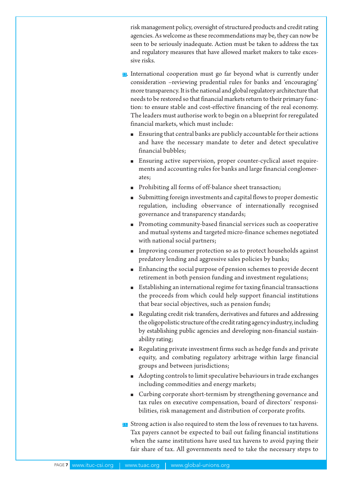risk management policy, oversight of structured products and credit rating agencies. As welcome as these recommendations may be, they can now be seen to be seriously inadequate. Action must be taken to address the tax and regulatory measures that have allowed market makers to take excessive risks.

- 22. International cooperation must go far beyond what is currently under consideration –reviewing prudential rules for banks and 'encouraging' more transparency. It is the national and global regulatory architecture that needs to be restored so that financial markets return to their primary function: to ensure stable and cost-effective financing of the real economy. The leaders must authorise work to begin on a blueprint for reregulated financial markets, which must include:
	- m Ensuring that central banks are publicly accountable for their actions and have the necessary mandate to deter and detect speculative financial bubbles;
	- m Ensuring active supervision, proper counter-cyclical asset requirements and accounting rules for banks and large financial conglomerates;
	- m Prohibiting all forms of off-balance sheet transaction;
	- $\blacksquare$  Submitting foreign investments and capital flows to proper domestic regulation, including observance of internationally recognised governance and transparency standards;
	- Promoting community-based financial services such as cooperative and mutual systems and targeted micro-finance schemes negotiated with national social partners;
	- m Improving consumer protection so as to protect households against predatory lending and aggressive sales policies by banks;
	- $\blacksquare$  Enhancing the social purpose of pension schemes to provide decent retirement in both pension funding and investment regulations;
	- m Establishing an international regime for taxing financial transactions the proceeds from which could help support financial institutions that bear social objectives, such as pension funds;
	- m Regulating credit risk transfers, derivatives and futures and addressing the oligopolistic structure of the credit rating agency industry, including by establishing public agencies and developing non-financial sustainability rating;
	- m Regulating private investment firms such as hedge funds and private equity, and combating regulatory arbitrage within large financial groups and between jurisdictions;
	- $\blacksquare$  Adopting controls to limit speculative behaviours in trade exchanges including commodities and energy markets;
	- Curbing corporate short-termism by strengthening governance and tax rules on executive compensation, board of directors' responsibilities, risk management and distribution of corporate profits.
- 23. Strong action is also required to stem the loss of revenues to tax havens. Tax payers cannot be expected to bail out failing financial institutions when the same institutions have used tax havens to avoid paying their fair share of tax. All governments need to take the necessary steps to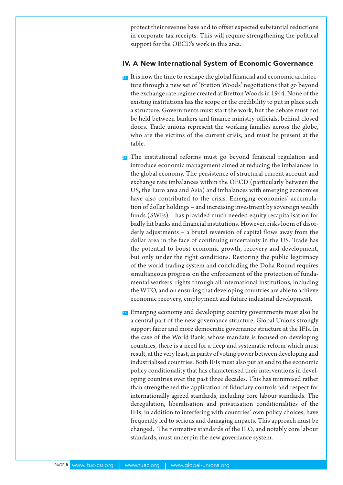protect their revenue base and to offset expected substantial reductions in corporate tax receipts. This will require strengthening the political support for the OECD's work in this area.

#### IV. A New International System of Economic Governance

- $24$ . It is now the time to reshape the global financial and economic architecture through a new set of 'Bretton Woods' negotiations that go beyond the exchange rate regime created at Bretton Woods in 1944. None of the existing institutions has the scope or the credibility to put in place such a structure. Governments must start the work, but the debate must not be held between bankers and finance ministry officials, behind closed doors. Trade unions represent the working families across the globe, who are the victims of the current crisis, and must be present at the table.
- 25. The institutional reforms must go beyond financial regulation and introduce economic management aimed at reducing the imbalances in the global economy. The persistence of structural current account and exchange rate imbalances within the OECD (particularly between the US, the Euro area and Asia) and imbalances with emerging economies have also contributed to the crisis. Emerging economies' accumulation of dollar holdings – and increasing investment by sovereign wealth funds (SWFs) – has provided much needed equity recapitalisation for badly hit banks and financial institutions. However, risks loom of disorderly adjustments – a brutal reversion of capital flows away from the dollar area in the face of continuing uncertainty in the US. Trade has the potential to boost economic growth, recovery and development, but only under the right conditions. Restoring the public legitimacy of the world trading system and concluding the Doha Round requires simultaneous progress on the enforcement of the protection of fundamental workers' rights through all international institutions, including the WTO, and on ensuring that developing countries are able to achieve economic recovery, employment and future industrial development.
- 26. Emerging economy and developing country governments must also be a central part of the new governance structure. Global Unions strongly support fairer and more democratic governance structure at the IFIs. In the case of the World Bank, whose mandate is focused on developing countries, there is a need for a deep and systematic reform which must result, at the very least, in parity of voting power between developing and industrialised countries. Both IFIs must also put an end to the economic policy conditionality that has characterised their interventions in developing countries over the past three decades. This has minimised rather than strengthened the application of fiduciary controls and respect for internationally agreed standards, including core labour standards. The deregulation, liberalisation and privatisation conditionalities of the IFIs, in addition to interfering with countries' own policy choices, have frequently led to serious and damaging impacts. This approach must be changed. The normative standards of the ILO, and notably core labour standards, must underpin the new governance system.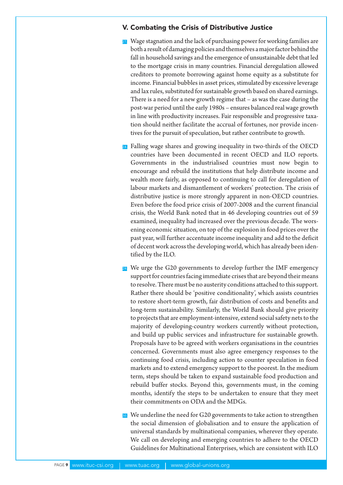## V. Combating the Crisis of Distributive Justice

- 27. Wage stagnation and the lack of purchasing power for working families are both a result of damaging policies and themselves a major factor behind the fall in household savings and the emergence of unsustainable debt that led to the mortgage crisis in many countries. Financial deregulation allowed creditors to promote borrowing against home equity as a substitute for income. Financial bubbles in asset prices, stimulated by excessive leverage and lax rules, substituted for sustainable growth based on shared earnings. There is a need for a new growth regime that – as was the case during the post-war period until the early 1980s – ensures balanced real wage growth in line with productivity increases. Fair responsible and progressive taxation should neither facilitate the accrual of fortunes, nor provide incentives for the pursuit of speculation, but rather contribute to growth.
- 28. Falling wage shares and growing inequality in two-thirds of the OECD countries have been documented in recent OECD and ILO reports. Governments in the industrialised countries must now begin to encourage and rebuild the institutions that help distribute income and wealth more fairly, as opposed to continuing to call for deregulation of labour markets and dismantlement of workers' protection. The crisis of distributive justice is more strongly apparent in non-OECD countries. Even before the food price crisis of 2007-2008 and the current financial crisis, the World Bank noted that in 46 developing countries out of 59 examined, inequality had increased over the previous decade. The worsening economic situation, on top of the explosion in food prices over the past year, will further accentuate income inequality and add to the deficit of decent work across the developing world, which has already been identified by the ILO.
- <sup>29</sup>. We urge the G20 governments to develop further the IMF emergency support for countries facing immediate crises that are beyond their means to resolve. There must be no austerity conditions attached to this support. Rather there should be 'positive conditionality', which assists countries to restore short-term growth, fair distribution of costs and benefits and long-term sustainability. Similarly, the World Bank should give priority to projects that are employment-intensive, extend social safety nets to the majority of developing-country workers currently without protection, and build up public services and infrastructure for sustainable growth. Proposals have to be agreed with workers organisations in the countries concerned. Governments must also agree emergency responses to the continuing food crisis, including action to counter speculation in food markets and to extend emergency support to the poorest. In the medium term, steps should be taken to expand sustainable food production and rebuild buffer stocks. Beyond this, governments must, in the coming months, identify the steps to be undertaken to ensure that they meet their commitments on ODA and the MDGs.

30. We underline the need for G20 governments to take action to strengthen the social dimension of globalisation and to ensure the application of universal standards by multinational companies, wherever they operate. We call on developing and emerging countries to adhere to the OECD Guidelines for Multinational Enterprises, which are consistent with ILO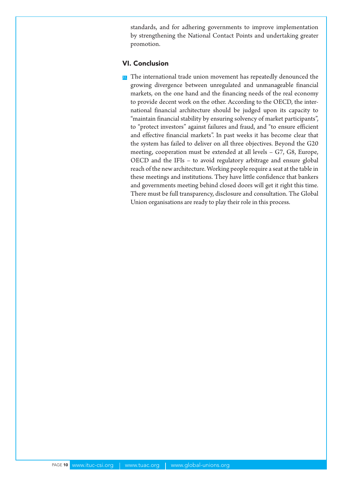standards, and for adhering governments to improve implementation by strengthening the National Contact Points and undertaking greater promotion.

#### VI. Conclusion

**31.** The international trade union movement has repeatedly denounced the growing divergence between unregulated and unmanageable financial markets, on the one hand and the financing needs of the real economy to provide decent work on the other. According to the OECD, the international financial architecture should be judged upon its capacity to "maintain financial stability by ensuring solvency of market participants", to "protect investors" against failures and fraud, and "to ensure efficient and effective financial markets". In past weeks it has become clear that the system has failed to deliver on all three objectives. Beyond the G20 meeting, cooperation must be extended at all levels – G7, G8, Europe, OECD and the IFIs – to avoid regulatory arbitrage and ensure global reach of the new architecture. Working people require a seat at the table in these meetings and institutions. They have little confidence that bankers and governments meeting behind closed doors will get it right this time. There must be full transparency, disclosure and consultation. The Global Union organisations are ready to play their role in this process.